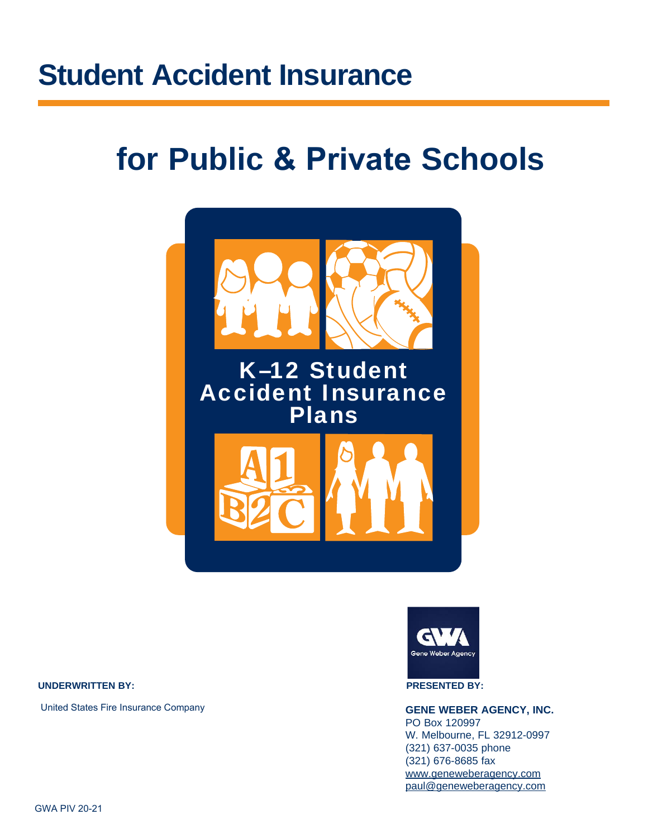# **Student Accident Insurance**

# **for Public & Private Schools**



#### **UNDERWRITTEN BY: PRESENTED BY:**

United States Fire Insurance Company



### **GENE WEBER AGENCY, INC.**

PO Box 120997 W. Melbourne, FL 32912-0997 (321) 637-0035 phone (321) 676-8685 fax www.geneweberagency.com paul@geneweberagency.com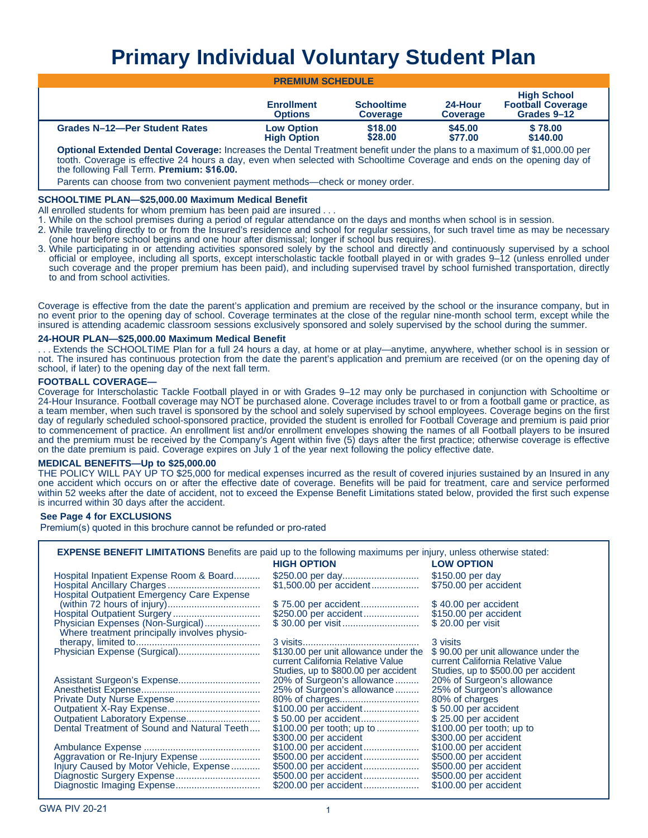## **Primary Individual Voluntary Student Plan**

| <b>PREMIUM SCHEDULE</b>                                                                                                   |                                         |                                      |                            |                                                               |
|---------------------------------------------------------------------------------------------------------------------------|-----------------------------------------|--------------------------------------|----------------------------|---------------------------------------------------------------|
|                                                                                                                           | <b>Enrollment</b><br><b>Options</b>     | <b>Schooltime</b><br><b>Coverage</b> | 24-Hour<br><b>Coverage</b> | <b>High School</b><br><b>Football Coverage</b><br>Grades 9-12 |
| Grades N-12-Per Student Rates                                                                                             | <b>Low Option</b><br><b>High Option</b> | \$18,00<br>\$28.00                   | \$45,00<br>\$77.00         | \$78.00<br>\$140.00                                           |
| Anthony Formula J. Bantyl Association Incorporation Bantyl Turking at Long Broadcard and the composition of MA 000,00 and |                                         |                                      |                            |                                                               |

**Optional Extended Dental Coverage:** Increases the Dental Treatment benefit under the plans to a maximum of \$1,000.00 per tooth. Coverage is effective 24 hours a day, even when selected with Schooltime Coverage and ends on the opening day of the following Fall Term. **Premium: \$16.00.**

Parents can choose from two convenient payment methods—check or money order.

#### **SCHOOLTIME PLAN—\$25,000.00 Maximum Medical Benefit**

All enrolled students for whom premium has been paid are insured . . .

- 1. While on the school premises during a period of regular attendance on the days and months when school is in session.
- 2. While traveling directly to or from the Insured's residence and school for regular sessions, for such travel time as may be necessary (one hour before school begins and one hour after dismissal; longer if school bus requires).
- 3. While participating in or attending activities sponsored solely by the school and directly and continuously supervised by a school official or employee, including all sports, except interscholastic tackle football played in or with grades 9–12 (unless enrolled under such coverage and the proper premium has been paid), and including supervised travel by school furnished transportation, directly to and from school activities.

Coverage is effective from the date the parent's application and premium are received by the school or the insurance company, but in no event prior to the opening day of school. Coverage terminates at the close of the regular nine-month school term, except while the insured is attending academic classroom sessions exclusively sponsored and solely supervised by the school during the summer.

#### **24-HOUR PLAN—\$25,000.00 Maximum Medical Benefit**

. . . Extends the SCHOOLTIME Plan for a full 24 hours a day, at home or at play—anytime, anywhere, whether school is in session or not. The insured has continuous protection from the date the parent's application and premium are received (or on the opening day of school, if later) to the opening day of the next fall term.

#### **FOOTBALL COVERAGE—**

Coverage for Interscholastic Tackle Football played in or with Grades 9–12 may only be purchased in conjunction with Schooltime or 24-Hour Insurance. Football coverage may NOT be purchased alone. Coverage includes travel to or from a football game or practice, as a team member, when such travel is sponsored by the school and solely supervised by school employees. Coverage begins on the first day of regularly scheduled school-sponsored practice, provided the student is enrolled for Football Coverage and premium is paid prior to commencement of practice. An enrollment list and/or enrollment envelopes showing the names of all Football players to be insured and the premium must be received by the Company's Agent within five (5) days after the first practice; otherwise coverage is effective on the date premium is paid. Coverage expires on July 1 of the year next following the policy effective date.

#### **MEDICAL BENEFITS—Up to \$25,000.00**

THE POLICY WILL PAY UP TO \$25,000 for medical expenses incurred as the result of covered injuries sustained by an Insured in any one accident which occurs on or after the effective date of coverage. Benefits will be paid for treatment, care and service performed within 52 weeks after the date of accident, not to exceed the Expense Benefit Limitations stated below, provided the first such expense is incurred within 30 days after the accident.

#### **See Page 4 for EXCLUSIONS**

Premium(s) quoted in this brochure cannot be refunded or pro-rated

**EXPENSE BENEFIT LIMITATIONS** Benefits are paid up to the following maximums per injury, unless otherwise stated:

|                                              | <b>HIGH OPTION</b>                    | <b>LOW OPTION</b>                    |
|----------------------------------------------|---------------------------------------|--------------------------------------|
| Hospital Inpatient Expense Room & Board      |                                       | \$150.00 per day                     |
|                                              | \$1,500.00 per accident               | \$750.00 per accident                |
| Hospital Outpatient Emergency Care Expense   |                                       |                                      |
|                                              | \$75.00 per accident                  | \$40.00 per accident                 |
|                                              | \$250.00 per accident                 | \$150.00 per accident                |
| Physician Expenses (Non-Surgical)            |                                       | \$20.00 per visit                    |
| Where treatment principally involves physio- |                                       |                                      |
|                                              |                                       | 3 visits                             |
|                                              | \$130.00 per unit allowance under the | \$90.00 per unit allowance under the |
|                                              | current California Relative Value     | current California Relative Value    |
|                                              | Studies, up to \$800.00 per accident  | Studies, up to \$500.00 per accident |
|                                              | 20% of Surgeon's allowance            | 20% of Surgeon's allowance           |
|                                              | 25% of Surgeon's allowance            | 25% of Surgeon's allowance           |
|                                              |                                       | 80% of charges                       |
|                                              | \$100.00 per accident                 | \$50.00 per accident                 |
|                                              | \$50.00 per accident                  | \$25.00 per accident                 |
| Dental Treatment of Sound and Natural Teeth  | \$100.00 per tooth; up to             | $$100.00$ per tooth; up to           |
|                                              | \$300.00 per accident                 | \$300.00 per accident                |
|                                              | \$100.00 per accident                 | \$100.00 per accident                |
| Aggravation or Re-Injury Expense             | \$500.00 per accident                 | \$500.00 per accident                |
| Injury Caused by Motor Vehicle, Expense      | \$500.00 per accident                 | \$500.00 per accident                |
|                                              | \$500.00 per accident                 | \$500.00 per accident                |
|                                              | \$200.00 per accident                 | \$100.00 per accident                |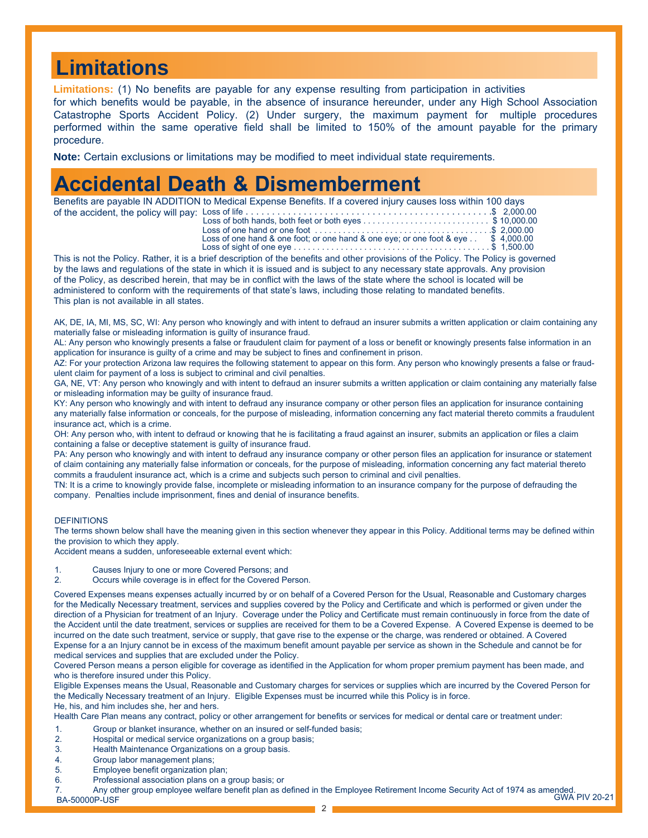## **Limitations**

**Limitations:** (1) No benefits are payable for any expense resulting from participation in activities

for which benefits would be payable, in the absence of insurance hereunder, under any High School Association Catastrophe Sports Accident Policy. (2) Under surgery, the maximum payment for multiple procedures performed within the same operative field shall be limited to 150% of the amount payable for the primary procedure.

**Note:** Certain exclusions or limitations may be modified to meet individual state requirements.

### **Accidental Death & Dismemberment**

Benefits are payable IN ADDITION to Medical Expense Benefits. If a covered injury causes loss within 100 days of the accident, the policy will pay: Loss of life . . . . . . . . . . . . . . . . . . . . . . . . . . . . . . . . . . . . . . . . . . . . . . .\$ 2,000.00

| Loss of one hand or one foot $\dots \dots \dots \dots \dots \dots \dots \dots \dots \dots \dots \dots \dots$ . \$ 2.000.00                      |  |
|-------------------------------------------------------------------------------------------------------------------------------------------------|--|
| Loss of one hand & one foot; or one hand & one eye; or one foot & eye $\therefore$ \$ 4,000.00                                                  |  |
| Loss of sight of one eye $\ldots$ $\ldots$ $\ldots$ $\ldots$ $\ldots$ $\ldots$ $\ldots$ $\ldots$ $\ldots$ $\ldots$ $\ldots$ $\uparrow$ 1,500.00 |  |
|                                                                                                                                                 |  |

This is not the Policy. Rather, it is a brief description of the benefits and other provisions of the Policy. The Policy is governed by the laws and regulations of the state in which it is issued and is subject to any necessary state approvals. Any provision of the Policy, as described herein, that may be in conflict with the laws of the state where the school is located will be administered to conform with the requirements of that state's laws, including those relating to mandated benefits. This plan is not available in all states.

AK, DE, IA, MI, MS, SC, WI: Any person who knowingly and with intent to defraud an insurer submits a written application or claim containing any materially false or misleading information is guilty of insurance fraud.

AL: Any person who knowingly presents a false or fraudulent claim for payment of a loss or benefit or knowingly presents false information in an application for insurance is guilty of a crime and may be subject to fines and confinement in prison.

AZ: For your protection Arizona law requires the following statement to appear on this form. Any person who knowingly presents a false or fraudulent claim for payment of a loss is subject to criminal and civil penalties.

GA, NE, VT: Any person who knowingly and with intent to defraud an insurer submits a written application or claim containing any materially false or misleading information may be guilty of insurance fraud.

KY: Any person who knowingly and with intent to defraud any insurance company or other person files an application for insurance containing any materially false information or conceals, for the purpose of misleading, information concerning any fact material thereto commits a fraudulent insurance act, which is a crime.

OH: Any person who, with intent to defraud or knowing that he is facilitating a fraud against an insurer, submits an application or files a claim containing a false or deceptive statement is guilty of insurance fraud.

PA: Any person who knowingly and with intent to defraud any insurance company or other person files an application for insurance or statement of claim containing any materially false information or conceals, for the purpose of misleading, information concerning any fact material thereto commits a fraudulent insurance act, which is a crime and subjects such person to criminal and civil penalties.

TN: It is a crime to knowingly provide false, incomplete or misleading information to an insurance company for the purpose of defrauding the company. Penalties include imprisonment, fines and denial of insurance benefits.

#### **DEFINITIONS**

The terms shown below shall have the meaning given in this section whenever they appear in this Policy. Additional terms may be defined within the provision to which they apply.

Accident means a sudden, unforeseeable external event which:

- 1. Causes Injury to one or more Covered Persons; and<br>2 Cocurs while coverage is in effect for the Covered Pe
- Occurs while coverage is in effect for the Covered Person.

Covered Expenses means expenses actually incurred by or on behalf of a Covered Person for the Usual, Reasonable and Customary charges for the Medically Necessary treatment, services and supplies covered by the Policy and Certificate and which is performed or given under the direction of a Physician for treatment of an Injury. Coverage under the Policy and Certificate must remain continuously in force from the date of the Accident until the date treatment, services or supplies are received for them to be a Covered Expense. A Covered Expense is deemed to be incurred on the date such treatment, service or supply, that gave rise to the expense or the charge, was rendered or obtained. A Covered Expense for a an Injury cannot be in excess of the maximum benefit amount payable per service as shown in the Schedule and cannot be for medical services and supplies that are excluded under the Policy.

Covered Person means a person eligible for coverage as identified in the Application for whom proper premium payment has been made, and who is therefore insured under this Policy.

Eligible Expenses means the Usual, Reasonable and Customary charges for services or supplies which are incurred by the Covered Person for the Medically Necessary treatment of an Injury. Eligible Expenses must be incurred while this Policy is in force.

He, his, and him includes she, her and hers.

Health Care Plan means any contract, policy or other arrangement for benefits or services for medical or dental care or treatment under:

- 1. Group or blanket insurance, whether on an insured or self-funded basis;<br>2 Bospital or medical service organizations on a group basis;
- 2. Hospital or medical service organizations on a group basis;
- Health Maintenance Organizations on a group basis.
- 4. Group labor management plans;
- 5. Employee benefit organization plan;
- 6. Professional association plans on a group basis; or

GWA PIV 20-21 7. Any other group employee welfare benefit plan as defined in the Employee Retirement Income Security Act of 1974 as amended. BA-50000P-USF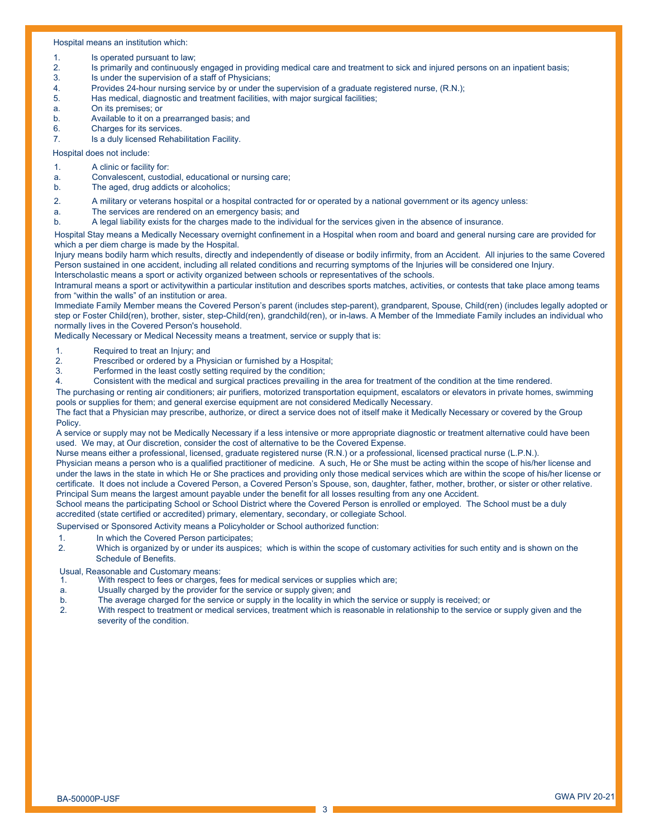#### Hospital means an institution which:

- 1. Is operated pursuant to law;
- 2. Is primarily and continuously engaged in providing medical care and treatment to sick and injured persons on an inpatient basis;
- 3. Is under the supervision of a staff of Physicians;
- 4. Provides 24-hour nursing service by or under the supervision of a graduate registered nurse, (R.N.);<br>5. Has medical, diagnostic and treatment facilities, with major surgical facilities;
- Has medical, diagnostic and treatment facilities, with major surgical facilities;
- a. On its premises; or
- b. Available to it on a prearranged basis; and
- 6. Charges for its services.
- 7. Is a duly licensed Rehabilitation Facility.

Hospital does not include:

- 1. A clinic or facility for:
- a. Convalescent, custodial, educational or nursing care;
- b. The aged, drug addicts or alcoholics;
- 2. A military or veterans hospital or a hospital contracted for or operated by a national government or its agency unless:
- a. The services are rendered on an emergency basis; and
- b. A legal liability exists for the charges made to the individual for the services given in the absence of insurance.

Hospital Stay means a Medically Necessary overnight confinement in a Hospital when room and board and general nursing care are provided for which a per diem charge is made by the Hospital.

Injury means bodily harm which results, directly and independently of disease or bodily infirmity, from an Accident. All injuries to the same Covered Person sustained in one accident, including all related conditions and recurring symptoms of the Injuries will be considered one Injury. Interscholastic means a sport or activity organized between schools or representatives of the schools.

Intramural means a sport or activitywithin a particular institution and describes sports matches, activities, or contests that take place among teams from "within the walls" of an institution or area.

Immediate Family Member means the Covered Person's parent (includes step-parent), grandparent, Spouse, Child(ren) (includes legally adopted or step or Foster Child(ren), brother, sister, step-Child(ren), grandchild(ren), or in-laws. A Member of the Immediate Family includes an individual who normally lives in the Covered Person's household.

Medically Necessary or Medical Necessity means a treatment, service or supply that is:

- 1. Required to treat an Injury; and<br>2. Prescribed or ordered by a Phy
- 2. Prescribed or ordered by a Physician or furnished by a Hospital;<br>3 Performed in the least costly setting required by the condition:
- Performed in the least costly setting required by the condition;
- 4. Consistent with the medical and surgical practices prevailing in the area for treatment of the condition at the time rendered.

The purchasing or renting air conditioners; air purifiers, motorized transportation equipment, escalators or elevators in private homes, swimming pools or supplies for them; and general exercise equipment are not considered Medically Necessary.

The fact that a Physician may prescribe, authorize, or direct a service does not of itself make it Medically Necessary or covered by the Group Policy.

A service or supply may not be Medically Necessary if a less intensive or more appropriate diagnostic or treatment alternative could have been used. We may, at Our discretion, consider the cost of alternative to be the Covered Expense.

Nurse means either a professional, licensed, graduate registered nurse (R.N.) or a professional, licensed practical nurse (L.P.N.).

Physician means a person who is a qualified practitioner of medicine. A such, He or She must be acting within the scope of his/her license and under the laws in the state in which He or She practices and providing only those medical services which are within the scope of his/her license or certificate. It does not include a Covered Person, a Covered Person's Spouse, son, daughter, father, mother, brother, or sister or other relative. Principal Sum means the largest amount payable under the benefit for all losses resulting from any one Accident.

School means the participating School or School District where the Covered Person is enrolled or employed. The School must be a duly accredited (state certified or accredited) primary, elementary, secondary, or collegiate School.

Supervised or Sponsored Activity means a Policyholder or School authorized function:

- 1. In which the Covered Person participates;
- 2. Which is organized by or under its auspices; which is within the scope of customary activities for such entity and is shown on the Schedule of Benefits.

Usual, Reasonable and Customary means:<br>1. With respect to fees or charges, f

- With respect to fees or charges, fees for medical services or supplies which are;
- a. Usually charged by the provider for the service or supply given; and
- b. The average charged for the service or supply in the locality in which the service or supply is received; or
- 2. With respect to treatment or medical services, treatment which is reasonable in relationship to the service or supply given and the severity of the condition.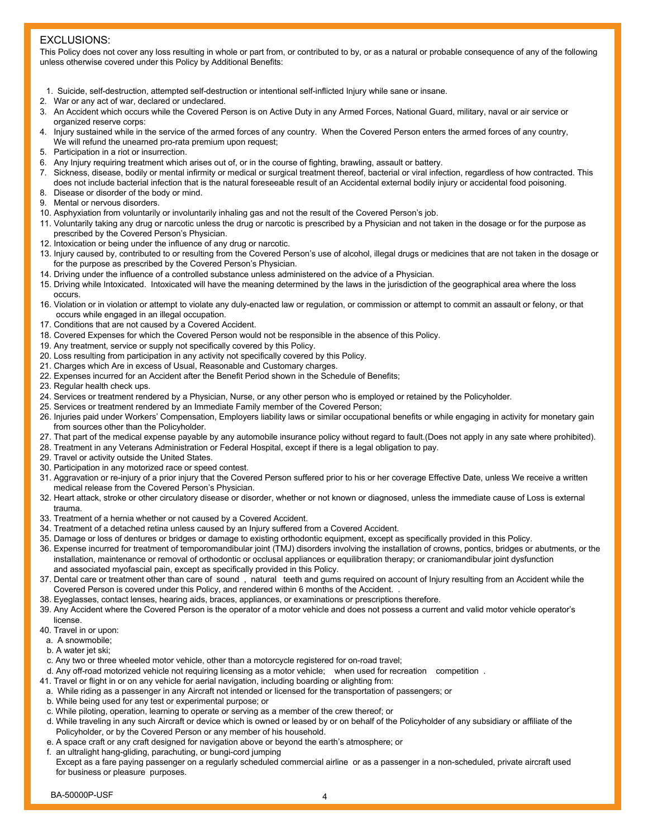### EXCLUSIONS:

This Policy does not cover any loss resulting in whole or part from, or contributed to by, or as a natural or probable consequence of any of the following unless otherwise covered under this Policy by Additional Benefits:

- 1. Suicide, self-destruction, attempted self-destruction or intentional self-inflicted Injury while sane or insane.
- 2. War or any act of war, declared or undeclared.
- 3. An Accident which occurs while the Covered Person is on Active Duty in any Armed Forces, National Guard, military, naval or air service or organized reserve corps:
- 4. Injury sustained while in the service of the armed forces of any country. When the Covered Person enters the armed forces of any country, We will refund the unearned pro-rata premium upon request;
- 5. Participation in a riot or insurrection.
- 6. Any Injury requiring treatment which arises out of, or in the course of fighting, brawling, assault or battery.
- 7. Sickness, disease, bodily or mental infirmity or medical or surgical treatment thereof, bacterial or viral infection, regardless of how contracted. This does not include bacterial infection that is the natural foreseeable result of an Accidental external bodily injury or accidental food poisoning.
- 8. Disease or disorder of the body or mind.
- 9. Mental or nervous disorders.
- 10. Asphyxiation from voluntarily or involuntarily inhaling gas and not the result of the Covered Person's job.
- 11. Voluntarily taking any drug or narcotic unless the drug or narcotic is prescribed by a Physician and not taken in the dosage or for the purpose as prescribed by the Covered Person's Physician.
- 12. Intoxication or being under the influence of any drug or narcotic.
- 13. Injury caused by, contributed to or resulting from the Covered Person's use of alcohol, illegal drugs or medicines that are not taken in the dosage or for the purpose as prescribed by the Covered Person's Physician.
- 14. Driving under the influence of a controlled substance unless administered on the advice of a Physician.
- 15. Driving while Intoxicated. Intoxicated will have the meaning determined by the laws in the jurisdiction of the geographical area where the loss occurs.
- 16. Violation or in violation or attempt to violate any duly-enacted law or regulation, or commission or attempt to commit an assault or felony, or that occurs while engaged in an illegal occupation.
- 17. Conditions that are not caused by a Covered Accident.
- 18. Covered Expenses for which the Covered Person would not be responsible in the absence of this Policy.
- 19. Any treatment, service or supply not specifically covered by this Policy.
- 20. Loss resulting from participation in any activity not specifically covered by this Policy.
- 21. Charges which Are in excess of Usual, Reasonable and Customary charges.
- 22. Expenses incurred for an Accident after the Benefit Period shown in the Schedule of Benefits;
- 23. Regular health check ups.
- 24. Services or treatment rendered by a Physician, Nurse, or any other person who is employed or retained by the Policyholder.
- 25. Services or treatment rendered by an Immediate Family member of the Covered Person;
- 26. Injuries paid under Workers' Compensation, Employers liability laws or similar occupational benefits or while engaging in activity for monetary gain from sources other than the Policyholder.
- 27. That part of the medical expense payable by any automobile insurance policy without regard to fault.(Does not apply in any sate where prohibited).
- 28. Treatment in any Veterans Administration or Federal Hospital, except if there is a legal obligation to pay.
- 29. Travel or activity outside the United States.
- 30. Participation in any motorized race or speed contest.
- 31. Aggravation or re-injury of a prior injury that the Covered Person suffered prior to his or her coverage Effective Date, unless We receive a written medical release from the Covered Person's Physician.
- 32. Heart attack, stroke or other circulatory disease or disorder, whether or not known or diagnosed, unless the immediate cause of Loss is external trauma.
- 33. Treatment of a hernia whether or not caused by a Covered Accident.
- 34. Treatment of a detached retina unless caused by an Injury suffered from a Covered Accident.
- 35. Damage or loss of dentures or bridges or damage to existing orthodontic equipment, except as specifically provided in this Policy.
- 36. Expense incurred for treatment of temporomandibular joint (TMJ) disorders involving the installation of crowns, pontics, bridges or abutments, or the installation, maintenance or removal of orthodontic or occlusal appliances or equilibration therapy; or craniomandibular joint dysfunction and associated myofascial pain, except as specifically provided in this Policy.
- 37. Dental care or treatment other than care of sound , natural teeth and gums required on account of Injury resulting from an Accident while the Covered Person is covered under this Policy, and rendered within 6 months of the Accident. .
- 38. Eyeglasses, contact lenses, hearing aids, braces, appliances, or examinations or prescriptions therefore.
- 39. Any Accident where the Covered Person is the operator of a motor vehicle and does not possess a current and valid motor vehicle operator's license.
- 40. Travel in or upon:
- a. A snowmobile;
- b. A water jet ski;
- c. Any two or three wheeled motor vehicle, other than a motorcycle registered for on-road travel;
- d. Any off-road motorized vehicle not requiring licensing as a motor vehicle; when used for recreation competition .
- 41. Travel or flight in or on any vehicle for aerial navigation, including boarding or alighting from:
- a. While riding as a passenger in any Aircraft not intended or licensed for the transportation of passengers; or
- b. While being used for any test or experimental purpose; or
- c. While piloting, operation, learning to operate or serving as a member of the crew thereof; or
- d. While traveling in any such Aircraft or device which is owned or leased by or on behalf of the Policyholder of any subsidiary or affiliate of the Policyholder, or by the Covered Person or any member of his household.
- e. A space craft or any craft designed for navigation above or beyond the earth's atmosphere; or
- f. an ultralight hang-gliding, parachuting, or bungi-cord jumping
- Except as a fare paying passenger on a regularly scheduled commercial airline or as a passenger in a non-scheduled, private aircraft used for business or pleasure purposes.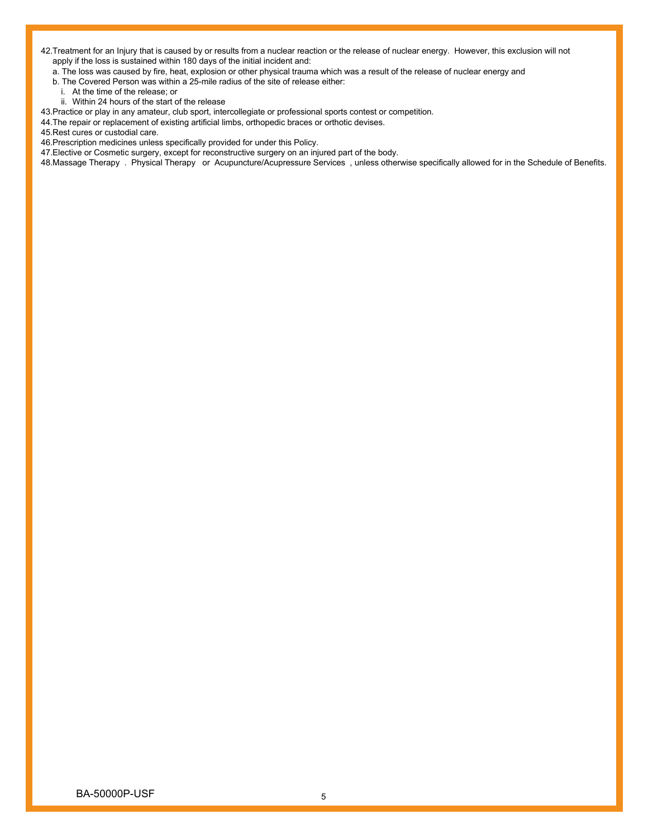42.Treatment for an Injury that is caused by or results from a nuclear reaction or the release of nuclear energy. However, this exclusion will not apply if the loss is sustained within 180 days of the initial incident and:

a. The loss was caused by fire, heat, explosion or other physical trauma which was a result of the release of nuclear energy and

b. The Covered Person was within a 25-mile radius of the site of release either:

- i. At the time of the release; or
- ii. Within 24 hours of the start of the release

43.Practice or play in any amateur, club sport, intercollegiate or professional sports contest or competition.

44.The repair or replacement of existing artificial limbs, orthopedic braces or orthotic devises.

45.Rest cures or custodial care.

46.Prescription medicines unless specifically provided for under this Policy.

47.Elective or Cosmetic surgery, except for reconstructive surgery on an injured part of the body.

48.Massage Therapy . Physical Therapy or Acupuncture/Acupressure Services , unless otherwise specifically allowed for in the Schedule of Benefits.